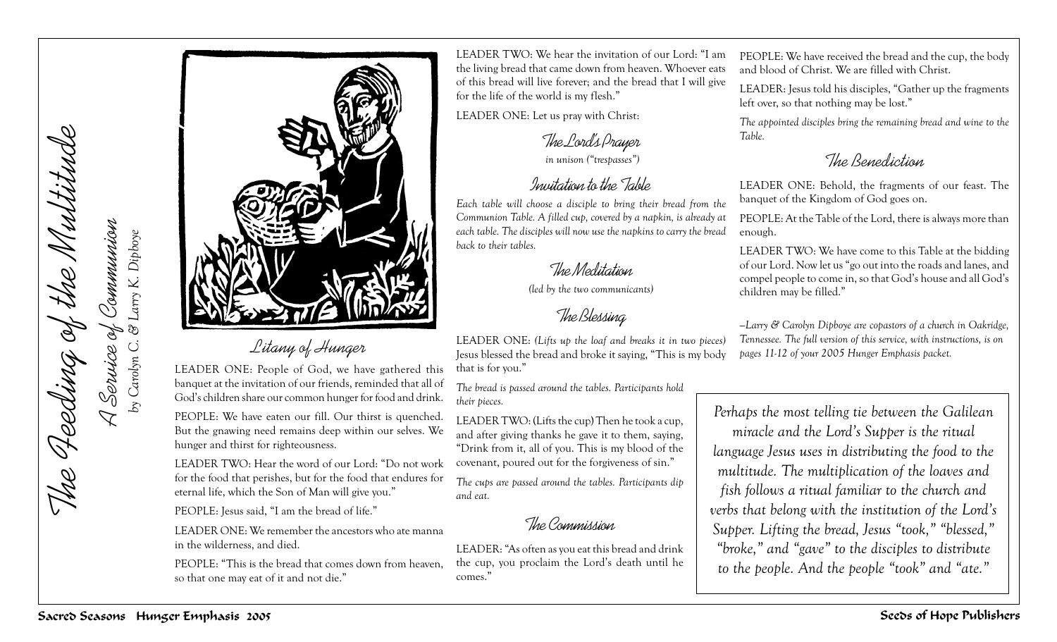

## *Litany of Hunger*

LEADER ONE: People of God, we have gathered this banquet at the invitation of our friends, reminded that all of God's children share our common hunger for food and drink.

PEOPLE: We have eaten our fill. Our thirst is quenched. But the gnawing need remains deep within our selves. We hunger and thirst for righteousness.

LEADER TWO: Hear the word of our Lord: "Do not work for the food that perishes, but for the food that endures for eternal life, which the Son of Man will give you."

PEOPLE: Jesus said, "I am the bread of life."

LEADER ONE: We remember the ancestors who ate manna in the wilderness, and died.

PEOPLE: "This is the bread that comes down from heaven, so that one may eat of it and not die."

LEADER TWO: We hear the invitation of our Lord: "I am the living bread that came down from heaven. Whoever eats of this bread will live forever; and the bread that I will give for the life of the world is my flesh."

LEADER ONE: Let us pray with Christ:

*The Lord's Prayer*

 *in unison ("trespasses")*

## *Invitation to the Table*

*Each table will choose a disciple to bring their bread from the Communion Table. A filled cup, covered by a napkin, is already at each table. The disciples will now use the napkins to carry the bread back to their tables.*

## *The Meditation*

*(led by the two communicants)*

## *The Blessing*

PEOPLE: We have received the bread and the cup, the body and blood of Christ. We are filled with Christ.

LEADER: Jesus told his disciples, "Gather up the fragments left over, so that nothing may be lost."

*The appointed disciples bring the remaining bread and wine to the Table.*

*The Benediction*

LEADER ONE: Behold, the fragments of our feast. The banquet of the Kingdom of God goes on.

PEOPLE: At the Table of the Lord, there is always more than enough.

LEADER TWO: We have come to this Table at the bidding of our Lord. Now let us "go out into the roads and lanes, and compel people to come in, so that God's house and all God's children may be filled."

*—Larry & Carolyn Dipboye are copastors of a church in Oakridge, Tennessee. The full version of this service, with instructions, is on pages 11-12 of your 2005 Hunger Emphasis packet.*

LEADER ONE: *(Lifts up the loaf and breaks it in two pieces)* Jesus blessed the bread and broke it saying, "This is my body that is for you."

*The bread is passed around the tables. Participants hold their pieces.*

LEADER TWO: (Lifts the cup) Then he took a cup, and after giving thanks he gave it to them, saying, "Drink from it, all of you. This is my blood of the covenant, poured out for the forgiveness of sin."

*The cups are passed around the tables. Participants dip and eat.*

*The Commission*

LEADER: "As often as you eat this bread and drink the cup, you proclaim the Lord's death until he comes."

*Perhaps the most telling tie between the Galilean miracle and the Lord's Supper is the ritual language Jesus uses in distributing the food to the multitude. The multiplication of the loaves and fish follows a ritual familiar to the church and verbs that belong with the institution of the Lord's Supper. Lifting the bread, Jesus "took," "blessed," "broke," and "gave" to the disciples to distribute to the people. And the people "took" and "ate."*